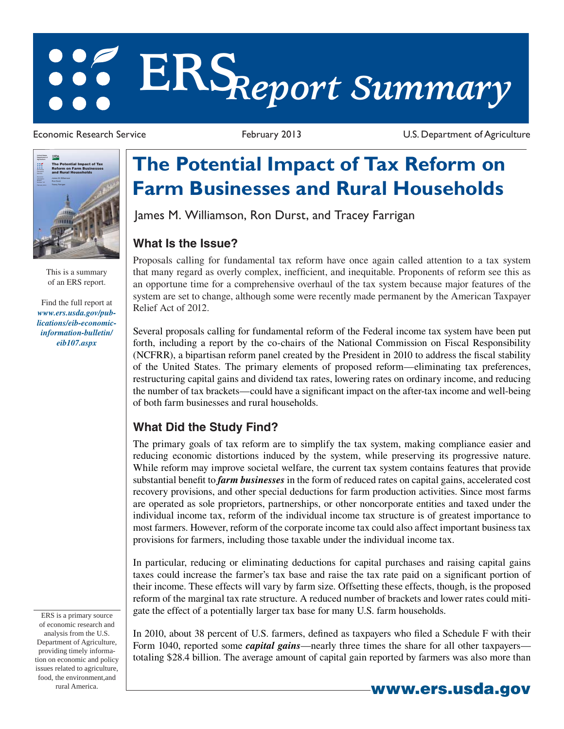# **ERS***Report Summary*

Economic Research Service **February 2013** February 2013 U.S. Department of Agriculture



This is a summary of an ERS report.

Find the full report at *www.ers.usda.gov/publications/eib-economicinformation-bulletin/ eib107.aspx*

## **The Potential Impact of Tax Reform on Farm Businesses and Rural Households**

James M. Williamson, Ron Durst, and Tracey Farrigan

### **What Is the Issue?**

Proposals calling for fundamental tax reform have once again called attention to a tax system that many regard as overly complex, inefficient, and inequitable. Proponents of reform see this as an opportune time for a comprehensive overhaul of the tax system because major features of the system are set to change, although some were recently made permanent by the American Taxpayer Relief Act of 2012.

Several proposals calling for fundamental reform of the Federal income tax system have been put forth, including a report by the co-chairs of the National Commission on Fiscal Responsibility (NCFRR), a bipartisan reform panel created by the President in 2010 to address the fiscal stability of the United States. The primary elements of proposed reform—eliminating tax preferences, restructuring capital gains and dividend tax rates, lowering rates on ordinary income, and reducing the number of tax brackets—could have a significant impact on the after-tax income and well-being of both farm businesses and rural households.

### **What Did the Study Find?**

The primary goals of tax reform are to simplify the tax system, making compliance easier and reducing economic distortions induced by the system, while preserving its progressive nature. While reform may improve societal welfare, the current tax system contains features that provide substantial benefit to *farm businesses* in the form of reduced rates on capital gains, accelerated cost recovery provisions, and other special deductions for farm production activities. Since most farms are operated as sole proprietors, partnerships, or other noncorporate entities and taxed under the individual income tax, reform of the individual income tax structure is of greatest importance to most farmers. However, reform of the corporate income tax could also affect important business tax provisions for farmers, including those taxable under the individual income tax.

In particular, reducing or eliminating deductions for capital purchases and raising capital gains taxes could increase the farmer's tax base and raise the tax rate paid on a significant portion of their income. These effects will vary by farm size. Offsetting these effects, though, is the proposed reform of the marginal tax rate structure. A reduced number of brackets and lower rates could mitigate the effect of a potentially larger tax base for many U.S. farm households.

In 2010, about 38 percent of U.S. farmers, defined as taxpayers who filed a Schedule F with their Form 1040, reported some *capital gains*—nearly three times the share for all other taxpayers totaling \$28.4 billion. The average amount of capital gain reported by farmers was also more than

**www.ers.usda.gov**

ERS is a primary source of economic research and analysis from the U.S. Department of Agriculture, providing timely information on economic and policy issues related to agriculture, food, the environment,and rural America.